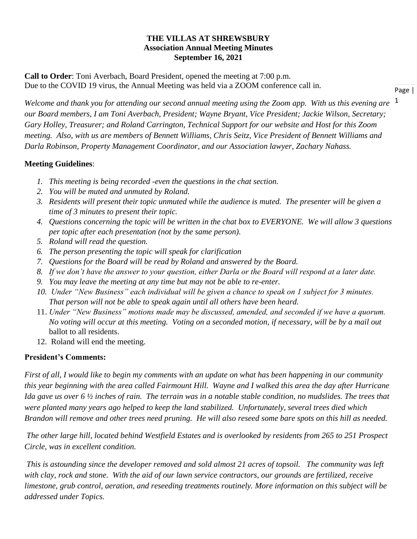### **THE VILLAS AT SHREWSBURY Association Annual Meeting Minutes September 16, 2021**

**Call to Order**: Toni Averbach, Board President, opened the meeting at 7:00 p.m. Due to the COVID 19 virus, the Annual Meeting was held via a ZOOM conference call in.

Welcome and thank you for attending our second annual meeting using the Zoom app. With us this evening are <sup>1</sup> *our Board members, I am Toni Averbach, President; Wayne Bryant, Vice President; Jackie Wilson, Secretary; Gary Holley, Treasurer; and Roland Carrington, Technical Support for our website and Host for this Zoom meeting. Also, with us are members of Bennett Williams, Chris Seitz, Vice President of Bennett Williams and Darla Robinson, Property Management Coordinator, and our Association lawyer, Zachary Nahass.*

### **Meeting Guidelines**:

- *1. This meeting is being recorded -even the questions in the chat section.*
- *2. You will be muted and unmuted by Roland.*
- *3. Residents will present their topic unmuted while the audience is muted. The presenter will be given a time of 3 minutes to present their topic.*
- *4. Questions concerning the topic will be written in the chat box to EVERYONE. We will allow 3 questions per topic after each presentation (not by the same person).*
- *5. Roland will read the question.*
- *6. The person presenting the topic will speak for clarification*
- *7. Questions for the Board will be read by Roland and answered by the Board.*
- *8. If we don't have the answer to your question, either Darla or the Board will respond at a later date.*
- *9. You may leave the meeting at any time but may not be able to re-enter.*
- *10. Under "New Business" each individual will be given a chance to speak on 1 subject for 3 minutes. That person will not be able to speak again until all others have been heard.*
- 11. *Under "New Business" motions made may be discussed, amended, and seconded if we have a quorum. No voting will occur at this meeting. Voting on a seconded motion, if necessary, will be by a mail out* ballot to all residents.
- 12. Roland will end the meeting.

## **President's Comments:**

*First of all, I would like to begin my comments with an update on what has been happening in our community this year beginning with the area called Fairmount Hill. Wayne and I walked this area the day after Hurricane Ida gave us over 6 ½ inches of rain. The terrain was in a notable stable condition, no mudslides. The trees that were planted many years ago helped to keep the land stabilized. Unfortunately, several trees died which Brandon will remove and other trees need pruning. He will also reseed some bare spots on this hill as needed.* 

*The other large hill, located behind Westfield Estates and is overlooked by residents from 265 to 251 Prospect Circle, was in excellent condition.*

*This is astounding since the developer removed and sold almost 21 acres of topsoil. The community was left with clay, rock and stone. With the aid of our lawn service contractors, our grounds are fertilized, receive limestone, grub control, aeration, and reseeding treatments routinely. More information on this subject will be addressed under Topics.*

Page |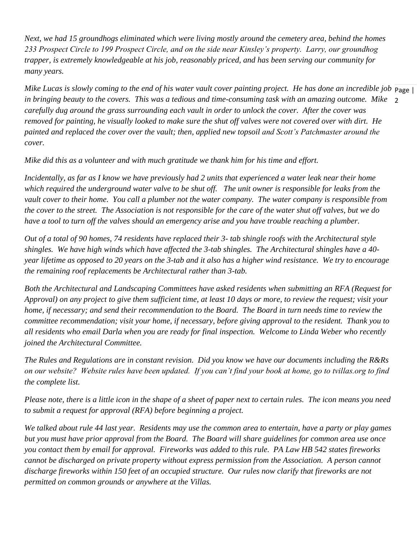*Next, we had 15 groundhogs eliminated which were living mostly around the cemetery area, behind the homes 233 Prospect Circle to 199 Prospect Circle, and on the side near Kinsley's property. Larry, our groundhog trapper, is extremely knowledgeable at his job, reasonably priced, and has been serving our community for many years.*

Mike Lucas is slowly coming to the end of his water vault cover painting project. He has done an incredible job Page | 2 *in bringing beauty to the covers. This was a tedious and time-consuming task with an amazing outcome. Mike carefully dug around the grass surrounding each vault in order to unlock the cover. After the cover was removed for painting, he visually looked to make sure the shut off valves were not covered over with dirt. He painted and replaced the cover over the vault; then, applied new topsoil and Scott's Patchmaster around the cover.*

*Mike did this as a volunteer and with much gratitude we thank him for his time and effort.*

*Incidentally, as far as I know we have previously had 2 units that experienced a water leak near their home which required the underground water valve to be shut off. The unit owner is responsible for leaks from the vault cover to their home. You call a plumber not the water company. The water company is responsible from the cover to the street. The Association is not responsible for the care of the water shut off valves, but we do have a tool to turn off the valves should an emergency arise and you have trouble reaching a plumber.*

*Out of a total of 90 homes, 74 residents have replaced their 3- tab shingle roofs with the Architectural style shingles. We have high winds which have affected the 3-tab shingles. The Architectural shingles have a 40 year lifetime as opposed to 20 years on the 3-tab and it also has a higher wind resistance. We try to encourage the remaining roof replacements be Architectural rather than 3-tab.* 

*Both the Architectural and Landscaping Committees have asked residents when submitting an RFA (Request for Approval) on any project to give them sufficient time, at least 10 days or more, to review the request; visit your home, if necessary; and send their recommendation to the Board. The Board in turn needs time to review the committee recommendation; visit your home, if necessary, before giving approval to the resident. Thank you to all residents who email Darla when you are ready for final inspection. Welcome to Linda Weber who recently joined the Architectural Committee.*

*The Rules and Regulations are in constant revision. Did you know we have our documents including the R&Rs on our website? Website rules have been updated. If you can't find your book at home, go to tvillas.org to find the complete list.*

*Please note, there is a little icon in the shape of a sheet of paper next to certain rules. The icon means you need to submit a request for approval (RFA) before beginning a project.*

*We talked about rule 44 last year. Residents may use the common area to entertain, have a party or play games but you must have prior approval from the Board. The Board will share guidelines for common area use once you contact them by email for approval. Fireworks was added to this rule. PA Law HB 542 states fireworks cannot be discharged on private property without express permission from the Association. A person cannot discharge fireworks within 150 feet of an occupied structure. Our rules now clarify that fireworks are not permitted on common grounds or anywhere at the Villas.*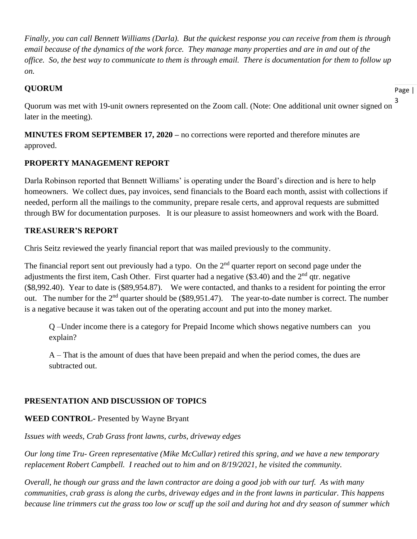*Finally, you can call Bennett Williams (Darla). But the quickest response you can receive from them is through email because of the dynamics of the work force. They manage many properties and are in and out of the office. So, the best way to communicate to them is through email. There is documentation for them to follow up on.*

### **QUORUM**

Page |

3 Quorum was met with 19-unit owners represented on the Zoom call. (Note: One additional unit owner signed on later in the meeting).

**MINUTES FROM SEPTEMBER 17, 2020 –** no corrections were reported and therefore minutes are approved.

## **PROPERTY MANAGEMENT REPORT**

Darla Robinson reported that Bennett Williams' is operating under the Board's direction and is here to help homeowners. We collect dues, pay invoices, send financials to the Board each month, assist with collections if needed, perform all the mailings to the community, prepare resale certs, and approval requests are submitted through BW for documentation purposes. It is our pleasure to assist homeowners and work with the Board.

## **TREASURER'S REPORT**

Chris Seitz reviewed the yearly financial report that was mailed previously to the community.

The financial report sent out previously had a typo. On the  $2<sup>nd</sup>$  quarter report on second page under the adjustments the first item, Cash Other. First quarter had a negative  $(\$3.40)$  and the  $2<sup>nd</sup>$  qtr. negative (\$8,992.40). Year to date is (\$89,954.87). We were contacted, and thanks to a resident for pointing the error out. The number for the 2<sup>nd</sup> quarter should be (\$89,951.47). The year-to-date number is correct. The number is a negative because it was taken out of the operating account and put into the money market.

Q –Under income there is a category for Prepaid Income which shows negative numbers can you explain?

A – That is the amount of dues that have been prepaid and when the period comes, the dues are subtracted out.

# **PRESENTATION AND DISCUSSION OF TOPICS**

## **WEED CONTROL-** Presented by Wayne Bryant

*Issues with weeds, Crab Grass front lawns, curbs, driveway edges*

*Our long time Tru- Green representative (Mike McCullar) retired this spring, and we have a new temporary replacement Robert Campbell. I reached out to him and on 8/19/2021, he visited the community.*

*Overall, he though our grass and the lawn contractor are doing a good job with our turf. As with many communities, crab grass is along the curbs, driveway edges and in the front lawns in particular. This happens because line trimmers cut the grass too low or scuff up the soil and during hot and dry season of summer which*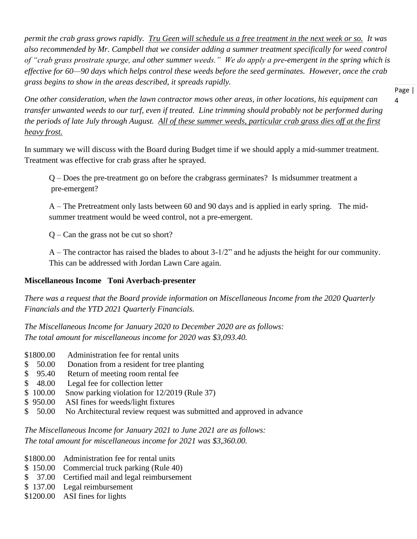*permit the crab grass grows rapidly. Tru Geen will schedule us a free treatment in the next week or so. It was also recommended by Mr. Campbell that we consider adding a summer treatment specifically for weed control of "crab grass prostrate spurge, and other summer weeds." We do apply a pre-emergent in the spring which is effective for 60—90 days which helps control these weeds before the seed germinates. However, once the crab grass begins to show in the areas described, it spreads rapidly.*

> Page | 4

*One other consideration, when the lawn contractor mows other areas, in other locations, his equipment can transfer unwanted weeds to our turf, even if treated. Line trimming should probably not be performed during the periods of late July through August. All of these summer weeds, particular crab grass dies off at the first heavy frost.*

In summary we will discuss with the Board during Budget time if we should apply a mid-summer treatment. Treatment was effective for crab grass after he sprayed.

Q – Does the pre-treatment go on before the crabgrass germinates? Is midsummer treatment a pre-emergent?

A – The Pretreatment only lasts between 60 and 90 days and is applied in early spring. The midsummer treatment would be weed control, not a pre-emergent.

Q – Can the grass not be cut so short?

A – The contractor has raised the blades to about 3-1/2" and he adjusts the height for our community. This can be addressed with Jordan Lawn Care again.

## **Miscellaneous Income Toni Averbach-presenter**

*There was a request that the Board provide information on Miscellaneous Income from the 2020 Quarterly Financials and the YTD 2021 Quarterly Financials.*

*The Miscellaneous Income for January 2020 to December 2020 are as follows: The total amount for miscellaneous income for 2020 was \$3,093.40.*

- \$1800.00 Administration fee for rental units
- \$ 50.00 Donation from a resident for tree planting
- \$ 95.40 Return of meeting room rental fee
- \$ 48.00 Legal fee for collection letter
- \$ 100.00 Snow parking violation for 12/2019 (Rule 37)
- \$ 950.00 ASI fines for weeds/light fixtures
- \$ 50.00 No Architectural review request was submitted and approved in advance

*The Miscellaneous Income for January 2021 to June 2021 are as follows: The total amount for miscellaneous income for 2021 was \$3,360.00.*

- \$1800.00 Administration fee for rental units
- \$150.00 Commercial truck parking (Rule 40)
- \$ 37.00 Certified mail and legal reimbursement
- \$ 137.00 Legal reimbursement
- \$1200.00 ASI fines for lights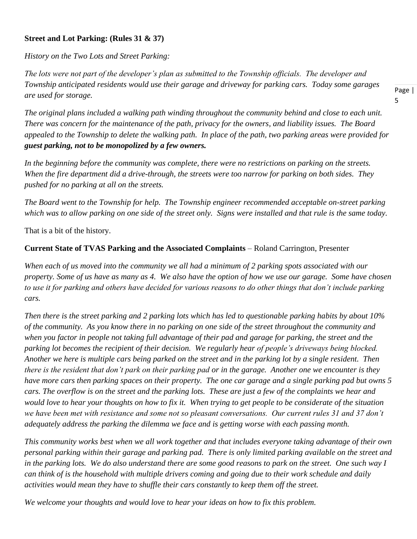### **Street and Lot Parking: (Rules 31 & 37)**

*History on the Two Lots and Street Parking:*

*The lots were not part of the developer's plan as submitted to the Township officials. The developer and Township anticipated residents would use their garage and driveway for parking cars. Today some garages are used for storage.*

Page | 5

*The original plans included a walking path winding throughout the community behind and close to each unit. There was concern for the maintenance of the path, privacy for the owners, and liability issues. The Board appealed to the Township to delete the walking path. In place of the path, two parking areas were provided for guest parking, not to be monopolized by a few owners.*

*In the beginning before the community was complete, there were no restrictions on parking on the streets. When the fire department did a drive-through, the streets were too narrow for parking on both sides. They pushed for no parking at all on the streets.*

*The Board went to the Township for help. The Township engineer recommended acceptable on-street parking which was to allow parking on one side of the street only. Signs were installed and that rule is the same today.*

That is a bit of the history.

### **Current State of TVAS Parking and the Associated Complaints** – Roland Carrington, Presenter

*When each of us moved into the community we all had a minimum of 2 parking spots associated with our property. Some of us have as many as 4. We also have the option of how we use our garage. Some have chosen to use it for parking and others have decided for various reasons to do other things that don't include parking cars.*

*Then there is the street parking and 2 parking lots which has led to questionable parking habits by about 10% of the community. As you know there in no parking on one side of the street throughout the community and when you factor in people not taking full advantage of their pad and garage for parking, the street and the parking lot becomes the recipient of their decision. We regularly hear of people's driveways being blocked. Another we here is multiple cars being parked on the street and in the parking lot by a single resident. Then there is the resident that don't park on their parking pad or in the garage. Another one we encounter is they have more cars then parking spaces on their property. The one car garage and a single parking pad but owns 5 cars. The overflow is on the street and the parking lots. These are just a few of the complaints we hear and would love to hear your thoughts on how to fix it. When trying to get people to be considerate of the situation we have been met with resistance and some not so pleasant conversations. Our current rules 31 and 37 don't adequately address the parking the dilemma we face and is getting worse with each passing month.*

*This community works best when we all work together and that includes everyone taking advantage of their own personal parking within their garage and parking pad. There is only limited parking available on the street and*  in the parking lots. We do also understand there are some good reasons to park on the street. One such way I *can think of is the household with multiple drivers coming and going due to their work schedule and daily activities would mean they have to shuffle their cars constantly to keep them off the street.* 

*We welcome your thoughts and would love to hear your ideas on how to fix this problem.*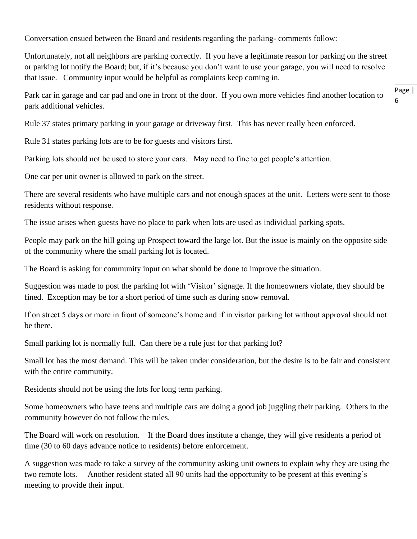Conversation ensued between the Board and residents regarding the parking- comments follow:

Unfortunately, not all neighbors are parking correctly. If you have a legitimate reason for parking on the street or parking lot notify the Board; but, if it's because you don't want to use your garage, you will need to resolve that issue. Community input would be helpful as complaints keep coming in.

Page | 6 Park car in garage and car pad and one in front of the door. If you own more vehicles find another location to park additional vehicles.

Rule 37 states primary parking in your garage or driveway first. This has never really been enforced.

Rule 31 states parking lots are to be for guests and visitors first.

Parking lots should not be used to store your cars. May need to fine to get people's attention.

One car per unit owner is allowed to park on the street.

There are several residents who have multiple cars and not enough spaces at the unit. Letters were sent to those residents without response.

The issue arises when guests have no place to park when lots are used as individual parking spots.

People may park on the hill going up Prospect toward the large lot. But the issue is mainly on the opposite side of the community where the small parking lot is located.

The Board is asking for community input on what should be done to improve the situation.

Suggestion was made to post the parking lot with 'Visitor' signage. If the homeowners violate, they should be fined. Exception may be for a short period of time such as during snow removal.

If on street 5 days or more in front of someone's home and if in visitor parking lot without approval should not be there.

Small parking lot is normally full. Can there be a rule just for that parking lot?

Small lot has the most demand. This will be taken under consideration, but the desire is to be fair and consistent with the entire community.

Residents should not be using the lots for long term parking.

Some homeowners who have teens and multiple cars are doing a good job juggling their parking. Others in the community however do not follow the rules.

The Board will work on resolution. If the Board does institute a change, they will give residents a period of time (30 to 60 days advance notice to residents) before enforcement.

A suggestion was made to take a survey of the community asking unit owners to explain why they are using the two remote lots. Another resident stated all 90 units had the opportunity to be present at this evening's meeting to provide their input.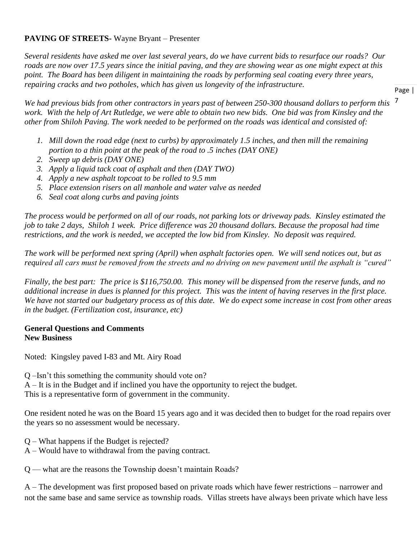### **PAVING OF STREETS-** Wayne Bryant – Presenter

*Several residents have asked me over last several years, do we have current bids to resurface our roads? Our roads are now over 17.5 years since the initial paving, and they are showing wear as one might expect at this point. The Board has been diligent in maintaining the roads by performing seal coating every three years, repairing cracks and two potholes, which has given us longevity of the infrastructure.* 

7 *We had previous bids from other contractors in years past of between 250-300 thousand dollars to perform this work. With the help of Art Rutledge, we were able to obtain two new bids. One bid was from Kinsley and the other from Shiloh Paving. The work needed to be performed on the roads was identical and consisted of:*

- *1. Mill down the road edge (next to curbs) by approximately 1.5 inches, and then mill the remaining portion to a thin point at the peak of the road to .5 inches (DAY ONE)*
- *2. Sweep up debris (DAY ONE)*
- *3. Apply a liquid tack coat of asphalt and then (DAY TWO)*
- *4. Apply a new asphalt topcoat to be rolled to 9.5 mm*
- *5. Place extension risers on all manhole and water valve as needed*
- *6. Seal coat along curbs and paving joints*

*The process would be performed on all of our roads, not parking lots or driveway pads. Kinsley estimated the job to take 2 days, Shiloh 1 week. Price difference was 20 thousand dollars. Because the proposal had time restrictions, and the work is needed, we accepted the low bid from Kinsley. No deposit was required.*

*The work will be performed next spring (April) when asphalt factories open. We will send notices out, but as required all cars must be removed from the streets and no driving on new pavement until the asphalt is "cured"*

*Finally, the best part: The price is \$116,750.00. This money will be dispensed from the reserve funds, and no additional increase in dues is planned for this project. This was the intent of having reserves in the first place. We have not started our budgetary process as of this date. We do expect some increase in cost from other areas in the budget. (Fertilization cost, insurance, etc)*

#### **General Questions and Comments New Business**

Noted: Kingsley paved I-83 and Mt. Airy Road

Q –Isn't this something the community should vote on?

A – It is in the Budget and if inclined you have the opportunity to reject the budget.

This is a representative form of government in the community.

One resident noted he was on the Board 15 years ago and it was decided then to budget for the road repairs over the years so no assessment would be necessary.

- Q What happens if the Budget is rejected?
- A Would have to withdrawal from the paving contract.

Q –– what are the reasons the Township doesn't maintain Roads?

A – The development was first proposed based on private roads which have fewer restrictions – narrower and not the same base and same service as township roads. Villas streets have always been private which have less

Page |